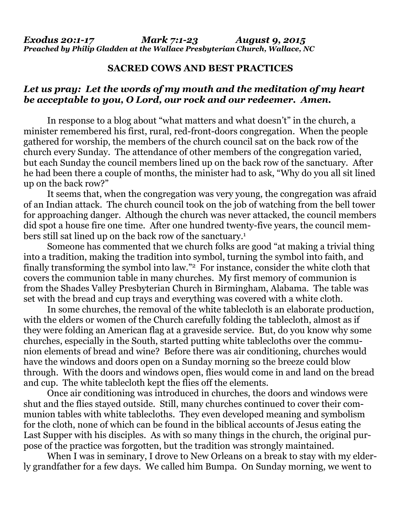## **SACRED COWS AND BEST PRACTICES**

## *Let us pray: Let the words of my mouth and the meditation of my heart be acceptable to you, O Lord, our rock and our redeemer. Amen.*

In response to a blog about "what matters and what doesn't" in the church, a minister remembered his first, rural, red-front-doors congregation. When the people gathered for worship, the members of the church council sat on the back row of the church every Sunday. The attendance of other members of the congregation varied, but each Sunday the council members lined up on the back row of the sanctuary. After he had been there a couple of months, the minister had to ask, "Why do you all sit lined up on the back row?"

 It seems that, when the congregation was very young, the congregation was afraid of an Indian attack. The church council took on the job of watching from the bell tower for approaching danger. Although the church was never attacked, the council members did spot a house fire one time. After one hundred twenty-five years, the council members still sat lined up on the back row of the sanctuary.1

 Someone has commented that we church folks are good "at making a trivial thing into a tradition, making the tradition into symbol, turning the symbol into faith, and finally transforming the symbol into law."2 For instance, consider the white cloth that covers the communion table in many churches. My first memory of communion is from the Shades Valley Presbyterian Church in Birmingham, Alabama. The table was set with the bread and cup trays and everything was covered with a white cloth.

 In some churches, the removal of the white tablecloth is an elaborate production, with the elders or women of the Church carefully folding the tablecloth, almost as if they were folding an American flag at a graveside service. But, do you know why some churches, especially in the South, started putting white tablecloths over the communion elements of bread and wine? Before there was air conditioning, churches would have the windows and doors open on a Sunday morning so the breeze could blow through. With the doors and windows open, flies would come in and land on the bread and cup. The white tablecloth kept the flies off the elements.

 Once air conditioning was introduced in churches, the doors and windows were shut and the flies stayed outside. Still, many churches continued to cover their communion tables with white tablecloths. They even developed meaning and symbolism for the cloth, none of which can be found in the biblical accounts of Jesus eating the Last Supper with his disciples. As with so many things in the church, the original purpose of the practice was forgotten, but the tradition was strongly maintained.

When I was in seminary, I drove to New Orleans on a break to stay with my elderly grandfather for a few days. We called him Bumpa. On Sunday morning, we went to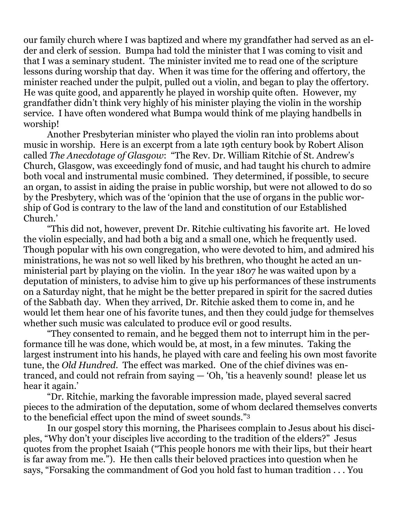our family church where I was baptized and where my grandfather had served as an elder and clerk of session. Bumpa had told the minister that I was coming to visit and that I was a seminary student. The minister invited me to read one of the scripture lessons during worship that day. When it was time for the offering and offertory, the minister reached under the pulpit, pulled out a violin, and began to play the offertory. He was quite good, and apparently he played in worship quite often. However, my grandfather didn't think very highly of his minister playing the violin in the worship service. I have often wondered what Bumpa would think of me playing handbells in worship!

 Another Presbyterian minister who played the violin ran into problems about music in worship. Here is an excerpt from a late 19th century book by Robert Alison called *The Anecdotage of Glasgow*: "The Rev. Dr. William Ritchie of St. Andrew's Church, Glasgow, was exceedingly fond of music, and had taught his church to admire both vocal and instrumental music combined. They determined, if possible, to secure an organ, to assist in aiding the praise in public worship, but were not allowed to do so by the Presbytery, which was of the 'opinion that the use of organs in the public worship of God is contrary to the law of the land and constitution of our Established Church.'

 "This did not, however, prevent Dr. Ritchie cultivating his favorite art. He loved the violin especially, and had both a big and a small one, which he frequently used. Though popular with his own congregation, who were devoted to him, and admired his ministrations, he was not so well liked by his brethren, who thought he acted an unministerial part by playing on the violin. In the year 1807 he was waited upon by a deputation of ministers, to advise him to give up his performances of these instruments on a Saturday night, that he might be the better prepared in spirit for the sacred duties of the Sabbath day. When they arrived, Dr. Ritchie asked them to come in, and he would let them hear one of his favorite tunes, and then they could judge for themselves whether such music was calculated to produce evil or good results.

 "They consented to remain, and he begged them not to interrupt him in the performance till he was done, which would be, at most, in a few minutes. Taking the largest instrument into his hands, he played with care and feeling his own most favorite tune, the *Old Hundred*. The effect was marked. One of the chief divines was entranced, and could not refrain from saying — 'Oh, 'tis a heavenly sound! please let us hear it again.'

 "Dr. Ritchie, marking the favorable impression made, played several sacred pieces to the admiration of the deputation, some of whom declared themselves converts to the beneficial effect upon the mind of sweet sounds."3

 In our gospel story this morning, the Pharisees complain to Jesus about his disciples, "Why don't your disciples live according to the tradition of the elders?" Jesus quotes from the prophet Isaiah ("This people honors me with their lips, but their heart is far away from me."). He then calls their beloved practices into question when he says, "Forsaking the commandment of God you hold fast to human tradition . . . You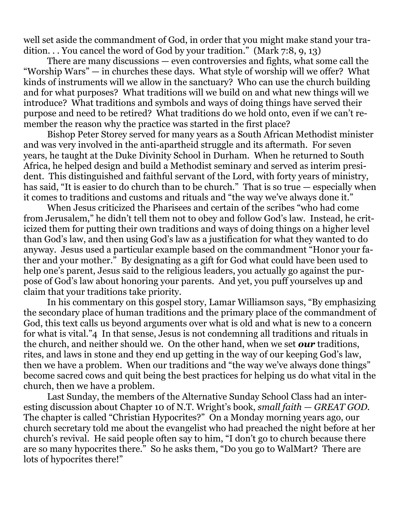well set aside the commandment of God, in order that you might make stand your tradition. . . You cancel the word of God by your tradition." (Mark 7:8, 9, 13)

 There are many discussions — even controversies and fights, what some call the "Worship Wars" — in churches these days. What style of worship will we offer? What kinds of instruments will we allow in the sanctuary? Who can use the church building and for what purposes? What traditions will we build on and what new things will we introduce? What traditions and symbols and ways of doing things have served their purpose and need to be retired? What traditions do we hold onto, even if we can't remember the reason why the practice was started in the first place?

 Bishop Peter Storey served for many years as a South African Methodist minister and was very involved in the anti-apartheid struggle and its aftermath. For seven years, he taught at the Duke Divinity School in Durham. When he returned to South Africa, he helped design and build a Methodist seminary and served as interim president. This distinguished and faithful servant of the Lord, with forty years of ministry, has said, "It is easier to do church than to be church." That is so true — especially when it comes to traditions and customs and rituals and "the way we've always done it."

 When Jesus criticized the Pharisees and certain of the scribes "who had come from Jerusalem," he didn't tell them not to obey and follow God's law. Instead, he criticized them for putting their own traditions and ways of doing things on a higher level than God's law, and then using God's law as a justification for what they wanted to do anyway. Jesus used a particular example based on the commandment "Honor your father and your mother." By designating as a gift for God what could have been used to help one's parent, Jesus said to the religious leaders, you actually go against the purpose of God's law about honoring your parents. And yet, you puff yourselves up and claim that your traditions take priority.

 In his commentary on this gospel story, Lamar Williamson says, "By emphasizing the secondary place of human traditions and the primary place of the commandment of God, this text calls us beyond arguments over what is old and what is new to a concern for what is vital."4 In that sense, Jesus is not condemning all traditions and rituals in the church, and neither should we. On the other hand, when we set *our* traditions, rites, and laws in stone and they end up getting in the way of our keeping God's law, then we have a problem. When our traditions and "the way we've always done things" become sacred cows and quit being the best practices for helping us do what vital in the church, then we have a problem.

 Last Sunday, the members of the Alternative Sunday School Class had an interesting discussion about Chapter 10 of N.T. Wright's book, *small faith — GREAT GOD.*  The chapter is called "Christian Hypocrites?" On a Monday morning years ago, our church secretary told me about the evangelist who had preached the night before at her church's revival. He said people often say to him, "I don't go to church because there are so many hypocrites there." So he asks them, "Do you go to WalMart? There are lots of hypocrites there!"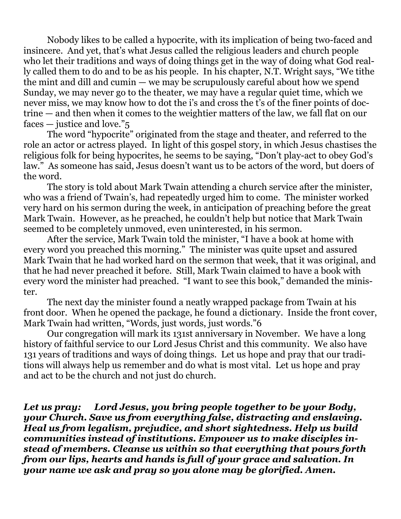Nobody likes to be called a hypocrite, with its implication of being two-faced and insincere. And yet, that's what Jesus called the religious leaders and church people who let their traditions and ways of doing things get in the way of doing what God really called them to do and to be as his people. In his chapter, N.T. Wright says, "We tithe the mint and dill and cumin — we may be scrupulously careful about how we spend Sunday, we may never go to the theater, we may have a regular quiet time, which we never miss, we may know how to dot the i's and cross the t's of the finer points of doctrine — and then when it comes to the weightier matters of the law, we fall flat on our faces — justice and love."5

 The word "hypocrite" originated from the stage and theater, and referred to the role an actor or actress played. In light of this gospel story, in which Jesus chastises the religious folk for being hypocrites, he seems to be saying, "Don't play-act to obey God's law." As someone has said, Jesus doesn't want us to be actors of the word, but doers of the word.

 The story is told about Mark Twain attending a church service after the minister, who was a friend of Twain's, had repeatedly urged him to come. The minister worked very hard on his sermon during the week, in anticipation of preaching before the great Mark Twain. However, as he preached, he couldn't help but notice that Mark Twain seemed to be completely unmoved, even uninterested, in his sermon.

 After the service, Mark Twain told the minister, "I have a book at home with every word you preached this morning." The minister was quite upset and assured Mark Twain that he had worked hard on the sermon that week, that it was original, and that he had never preached it before. Still, Mark Twain claimed to have a book with every word the minister had preached. "I want to see this book," demanded the minister.

 The next day the minister found a neatly wrapped package from Twain at his front door. When he opened the package, he found a dictionary. Inside the front cover, Mark Twain had written, "Words, just words, just words."6

 Our congregation will mark its 131st anniversary in November. We have a long history of faithful service to our Lord Jesus Christ and this community. We also have 131 years of traditions and ways of doing things. Let us hope and pray that our traditions will always help us remember and do what is most vital. Let us hope and pray and act to be the church and not just do church.

*Let us pray: Lord Jesus, you bring people together to be your Body, your Church. Save us from everything false, distracting and enslaving. Heal us from legalism, prejudice, and short sightedness. Help us build communities instead of institutions. Empower us to make disciples instead of members. Cleanse us within so that everything that pours forth from our lips, hearts and hands is full of your grace and salvation. In your name we ask and pray so you alone may be glorified. Amen.*